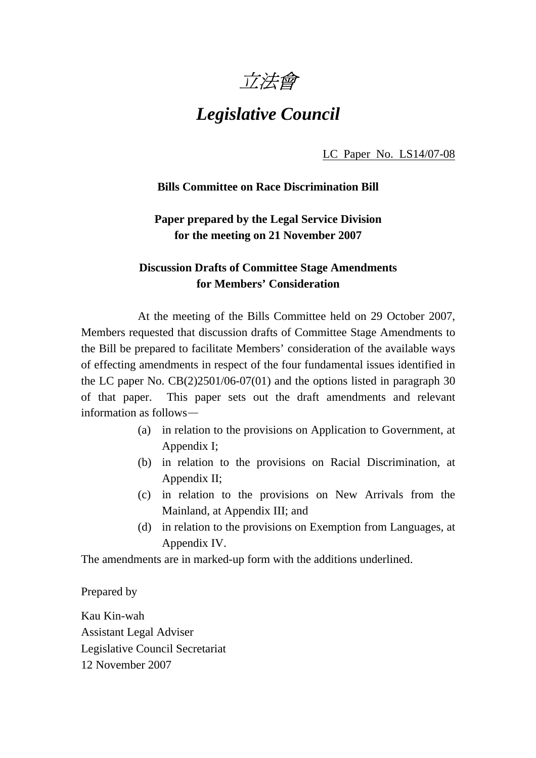

# *Legislative Council*

LC Paper No. LS14/07-08

#### **Bills Committee on Race Discrimination Bill**

# **Paper prepared by the Legal Service Division for the meeting on 21 November 2007**

# **Discussion Drafts of Committee Stage Amendments for Members' Consideration**

 At the meeting of the Bills Committee held on 29 October 2007, Members requested that discussion drafts of Committee Stage Amendments to the Bill be prepared to facilitate Members' consideration of the available ways of effecting amendments in respect of the four fundamental issues identified in the LC paper No. CB(2)2501/06-07(01) and the options listed in paragraph 30 of that paper. This paper sets out the draft amendments and relevant information as follows—

- (a) in relation to the provisions on Application to Government, at Appendix I;
- (b) in relation to the provisions on Racial Discrimination, at Appendix II;
- (c) in relation to the provisions on New Arrivals from the Mainland, at Appendix III; and
- (d) in relation to the provisions on Exemption from Languages, at Appendix IV.

The amendments are in marked-up form with the additions underlined.

Prepared by

Kau Kin-wah Assistant Legal Adviser Legislative Council Secretariat 12 November 2007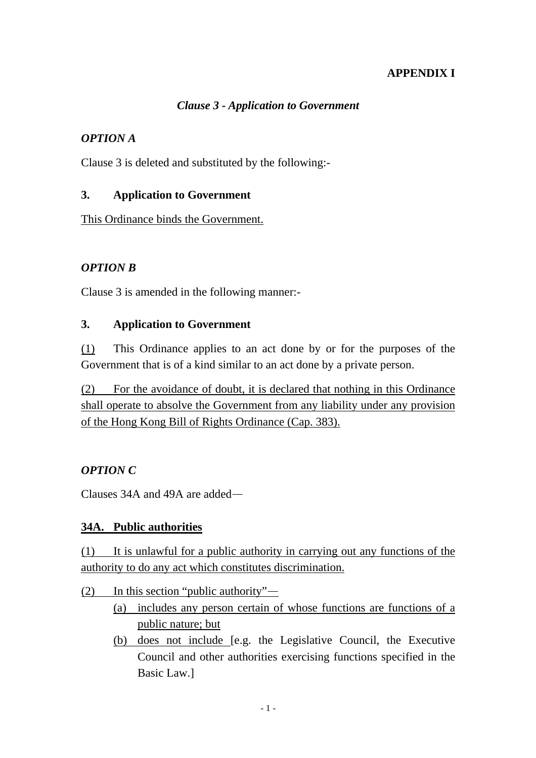# **APPENDIX I**

# *Clause 3 - Application to Government*

# *OPTION A*

Clause 3 is deleted and substituted by the following:-

# **3. Application to Government**

This Ordinance binds the Government.

# *OPTION B*

Clause 3 is amended in the following manner:-

#### **3. Application to Government**

(1) This Ordinance applies to an act done by or for the purposes of the Government that is of a kind similar to an act done by a private person.

(2) For the avoidance of doubt, it is declared that nothing in this Ordinance shall operate to absolve the Government from any liability under any provision of the Hong Kong Bill of Rights Ordinance (Cap. 383).

# *OPTION C*

Clauses 34A and 49A are added—

#### **34A. Public authorities**

(1) It is unlawful for a public authority in carrying out any functions of the authority to do any act which constitutes discrimination.

(2) In this section "public authority"—

- (a) includes any person certain of whose functions are functions of a public nature; but
- (b) does not include [e.g. the Legislative Council, the Executive Council and other authorities exercising functions specified in the Basic Law.]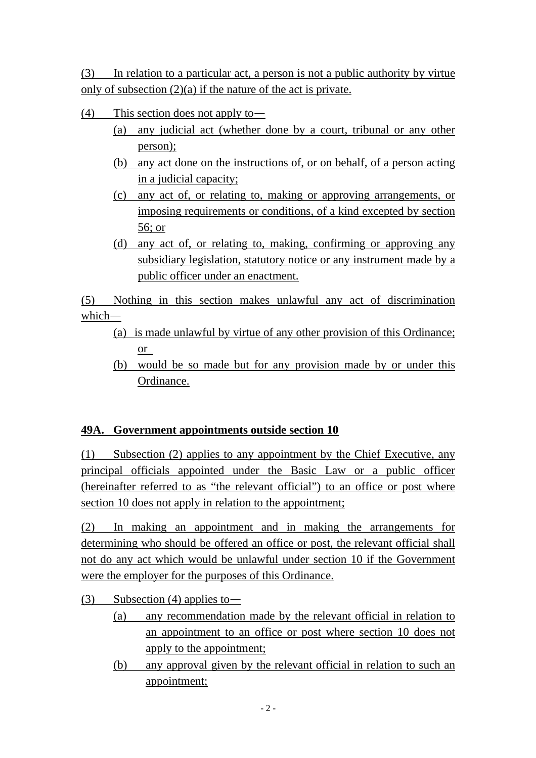(3) In relation to a particular act, a person is not a public authority by virtue only of subsection (2)(a) if the nature of the act is private.

- (4) This section does not apply to—
	- (a) any judicial act (whether done by a court, tribunal or any other person);
	- (b) any act done on the instructions of, or on behalf, of a person acting in a judicial capacity;
	- (c) any act of, or relating to, making or approving arrangements, or imposing requirements or conditions, of a kind excepted by section 56; or
	- (d) any act of, or relating to, making, confirming or approving any subsidiary legislation, statutory notice or any instrument made by a public officer under an enactment.

(5) Nothing in this section makes unlawful any act of discrimination which—

- (a) is made unlawful by virtue of any other provision of this Ordinance; or
- (b) would be so made but for any provision made by or under this Ordinance.

# **49A. Government appointments outside section 10**

(1) Subsection (2) applies to any appointment by the Chief Executive, any principal officials appointed under the Basic Law or a public officer (hereinafter referred to as "the relevant official") to an office or post where section 10 does not apply in relation to the appointment;

(2) In making an appointment and in making the arrangements for determining who should be offered an office or post, the relevant official shall not do any act which would be unlawful under section 10 if the Government were the employer for the purposes of this Ordinance.

(3) Subsection (4) applies to —

- (a) any recommendation made by the relevant official in relation to an appointment to an office or post where section 10 does not apply to the appointment;
- (b) any approval given by the relevant official in relation to such an appointment;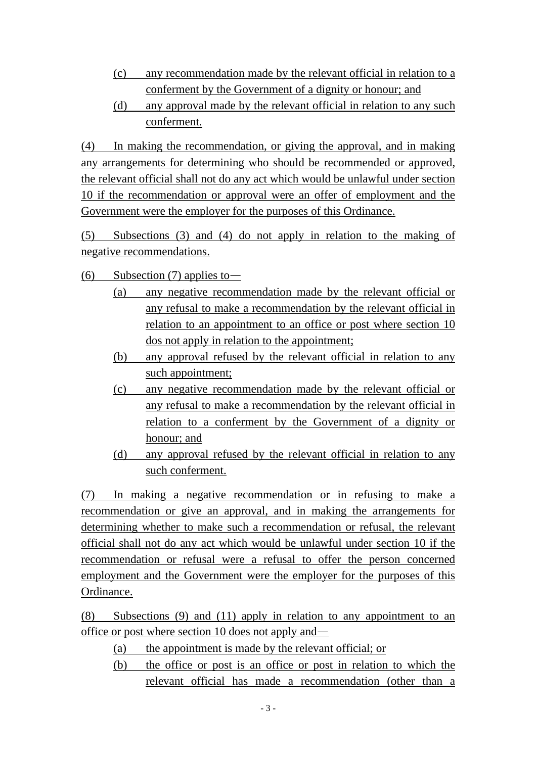- (c) any recommendation made by the relevant official in relation to a conferment by the Government of a dignity or honour; and
- (d) any approval made by the relevant official in relation to any such conferment.

(4) In making the recommendation, or giving the approval, and in making any arrangements for determining who should be recommended or approved, the relevant official shall not do any act which would be unlawful under section 10 if the recommendation or approval were an offer of employment and the Government were the employer for the purposes of this Ordinance.

(5) Subsections (3) and (4) do not apply in relation to the making of negative recommendations.

- (6) Subsection (7) applies to
	- (a) any negative recommendation made by the relevant official or any refusal to make a recommendation by the relevant official in relation to an appointment to an office or post where section 10 dos not apply in relation to the appointment;
	- (b) any approval refused by the relevant official in relation to any such appointment:
	- (c) any negative recommendation made by the relevant official or any refusal to make a recommendation by the relevant official in relation to a conferment by the Government of a dignity or honour; and
	- (d) any approval refused by the relevant official in relation to any such conferment.

(7) In making a negative recommendation or in refusing to make a recommendation or give an approval, and in making the arrangements for determining whether to make such a recommendation or refusal, the relevant official shall not do any act which would be unlawful under section 10 if the recommendation or refusal were a refusal to offer the person concerned employment and the Government were the employer for the purposes of this Ordinance.

(8) Subsections (9) and (11) apply in relation to any appointment to an office or post where section 10 does not apply and—

- (a) the appointment is made by the relevant official; or
- (b) the office or post is an office or post in relation to which the relevant official has made a recommendation (other than a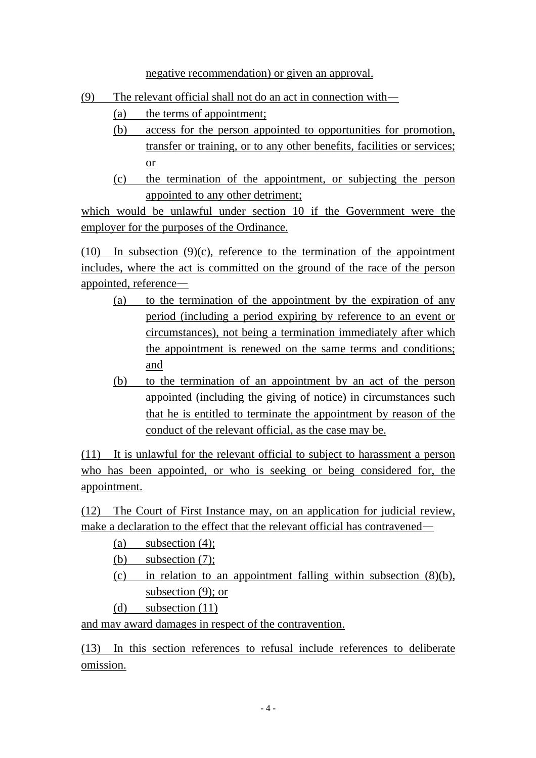negative recommendation) or given an approval.

- (9) The relevant official shall not do an act in connection with—
	- (a) the terms of appointment;
	- (b) access for the person appointed to opportunities for promotion, transfer or training, or to any other benefits, facilities or services; or
	- (c) the termination of the appointment, or subjecting the person appointed to any other detriment;

which would be unlawful under section 10 if the Government were the employer for the purposes of the Ordinance.

(10) In subsection (9)(c), reference to the termination of the appointment includes, where the act is committed on the ground of the race of the person appointed, reference—

- (a) to the termination of the appointment by the expiration of any period (including a period expiring by reference to an event or circumstances), not being a termination immediately after which the appointment is renewed on the same terms and conditions; and
- (b) to the termination of an appointment by an act of the person appointed (including the giving of notice) in circumstances such that he is entitled to terminate the appointment by reason of the conduct of the relevant official, as the case may be.

(11) It is unlawful for the relevant official to subject to harassment a person who has been appointed, or who is seeking or being considered for, the appointment.

(12) The Court of First Instance may, on an application for judicial review, make a declaration to the effect that the relevant official has contravened—

- (a) subsection (4);
- (b) subsection (7);
- (c) in relation to an appointment falling within subsection (8)(b), subsection (9); or
- (d) subsection (11)

and may award damages in respect of the contravention.

(13) In this section references to refusal include references to deliberate omission.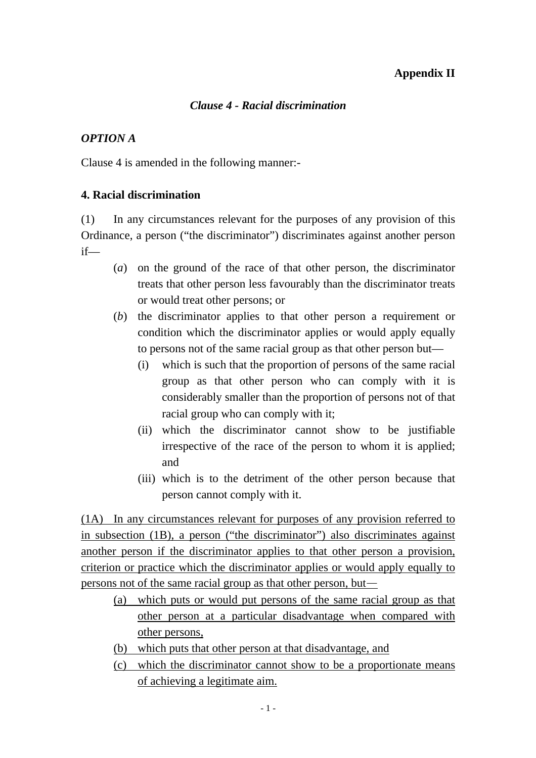#### **Appendix II**

# *Clause 4 - Racial discrimination*

# *OPTION A*

Clause 4 is amended in the following manner:-

# **4. Racial discrimination**

(1) In any circumstances relevant for the purposes of any provision of this Ordinance, a person ("the discriminator") discriminates against another person if—

- (*a*) on the ground of the race of that other person, the discriminator treats that other person less favourably than the discriminator treats or would treat other persons; or
- (*b*) the discriminator applies to that other person a requirement or condition which the discriminator applies or would apply equally to persons not of the same racial group as that other person but—
	- (i) which is such that the proportion of persons of the same racial group as that other person who can comply with it is considerably smaller than the proportion of persons not of that racial group who can comply with it;
	- (ii) which the discriminator cannot show to be justifiable irrespective of the race of the person to whom it is applied; and
	- (iii) which is to the detriment of the other person because that person cannot comply with it.

(1A) In any circumstances relevant for purposes of any provision referred to in subsection (1B), a person ("the discriminator") also discriminates against another person if the discriminator applies to that other person a provision, criterion or practice which the discriminator applies or would apply equally to persons not of the same racial group as that other person, but—

- (a) which puts or would put persons of the same racial group as that other person at a particular disadvantage when compared with other persons,
- (b) which puts that other person at that disadvantage, and
- (c) which the discriminator cannot show to be a proportionate means of achieving a legitimate aim.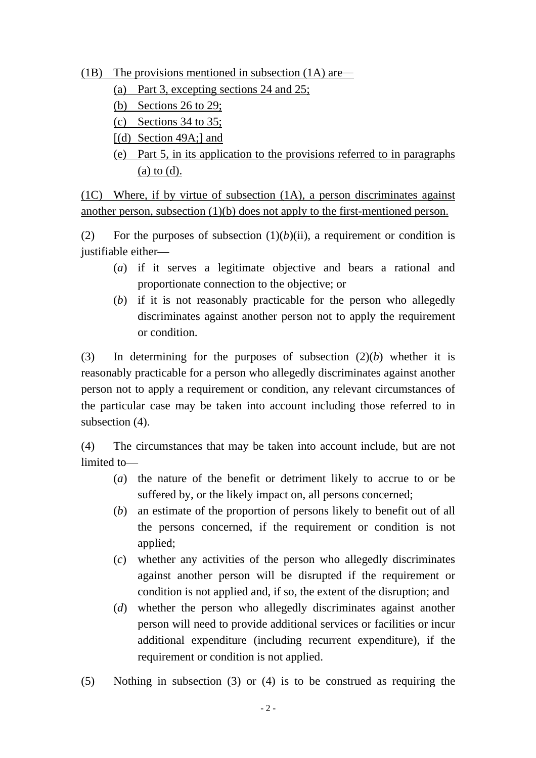(1B) The provisions mentioned in subsection  $(1A)$  are—

- (a) Part 3, excepting sections 24 and 25;
- (b) Sections 26 to 29;
- (c) Sections 34 to 35;
- [(d) Section 49A;] and
- (e) Part 5, in its application to the provisions referred to in paragraphs (a) to (d).

(1C) Where, if by virtue of subsection (1A), a person discriminates against another person, subsection (1)(b) does not apply to the first-mentioned person.

(2) For the purposes of subsection  $(1)(b)(ii)$ , a requirement or condition is justifiable either—

- (*a*) if it serves a legitimate objective and bears a rational and proportionate connection to the objective; or
- (*b*) if it is not reasonably practicable for the person who allegedly discriminates against another person not to apply the requirement or condition.

(3) In determining for the purposes of subsection (2)(*b*) whether it is reasonably practicable for a person who allegedly discriminates against another person not to apply a requirement or condition, any relevant circumstances of the particular case may be taken into account including those referred to in subsection (4).

(4) The circumstances that may be taken into account include, but are not limited to—

- (*a*) the nature of the benefit or detriment likely to accrue to or be suffered by, or the likely impact on, all persons concerned;
- (*b*) an estimate of the proportion of persons likely to benefit out of all the persons concerned, if the requirement or condition is not applied;
- (*c*) whether any activities of the person who allegedly discriminates against another person will be disrupted if the requirement or condition is not applied and, if so, the extent of the disruption; and
- (*d*) whether the person who allegedly discriminates against another person will need to provide additional services or facilities or incur additional expenditure (including recurrent expenditure), if the requirement or condition is not applied.
- (5) Nothing in subsection (3) or (4) is to be construed as requiring the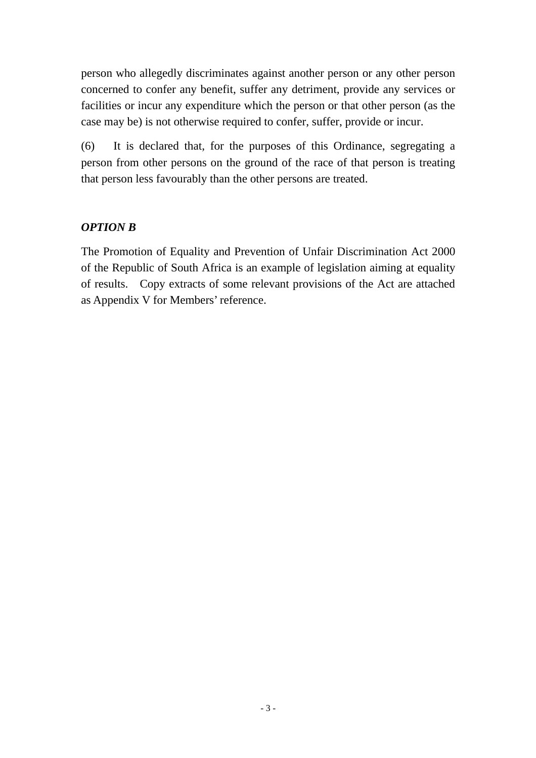person who allegedly discriminates against another person or any other person concerned to confer any benefit, suffer any detriment, provide any services or facilities or incur any expenditure which the person or that other person (as the case may be) is not otherwise required to confer, suffer, provide or incur.

(6) It is declared that, for the purposes of this Ordinance, segregating a person from other persons on the ground of the race of that person is treating that person less favourably than the other persons are treated.

# *OPTION B*

The Promotion of Equality and Prevention of Unfair Discrimination Act 2000 of the Republic of South Africa is an example of legislation aiming at equality of results. Copy extracts of some relevant provisions of the Act are attached as Appendix V for Members' reference.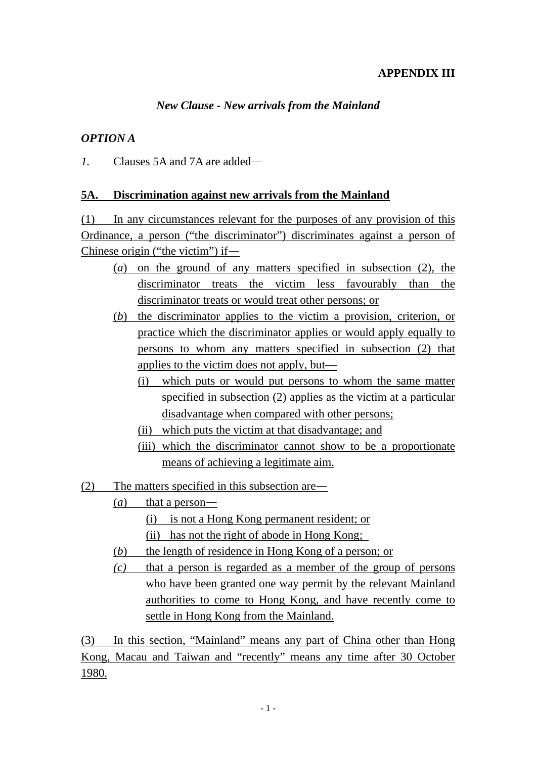# **APPENDIX III**

# *New Clause - New arrivals from the Mainland*

#### *OPTION A*

*1.* Clauses 5A and 7A are added—

#### **5A. Discrimination against new arrivals from the Mainland**

(1) In any circumstances relevant for the purposes of any provision of this Ordinance, a person ("the discriminator") discriminates against a person of Chinese origin ("the victim") if—

- (*a*) on the ground of any matters specified in subsection (2), the discriminator treats the victim less favourably than the discriminator treats or would treat other persons; or
- (*b*) the discriminator applies to the victim a provision, criterion, or practice which the discriminator applies or would apply equally to persons to whom any matters specified in subsection (2) that applies to the victim does not apply, but—
	- (i) which puts or would put persons to whom the same matter specified in subsection (2) applies as the victim at a particular disadvantage when compared with other persons;
	- (ii) which puts the victim at that disadvantage; and
	- (iii) which the discriminator cannot show to be a proportionate means of achieving a legitimate aim.
- (2) The matters specified in this subsection are—
	- (*a*) that a person—
		- (i) is not a Hong Kong permanent resident; or
		- (ii) has not the right of abode in Hong Kong;
	- (*b*) the length of residence in Hong Kong of a person; or
	- *(c)* that a person is regarded as a member of the group of persons who have been granted one way permit by the relevant Mainland authorities to come to Hong Kong, and have recently come to settle in Hong Kong from the Mainland.

(3) In this section, "Mainland" means any part of China other than Hong Kong, Macau and Taiwan and "recently" means any time after 30 October 1980.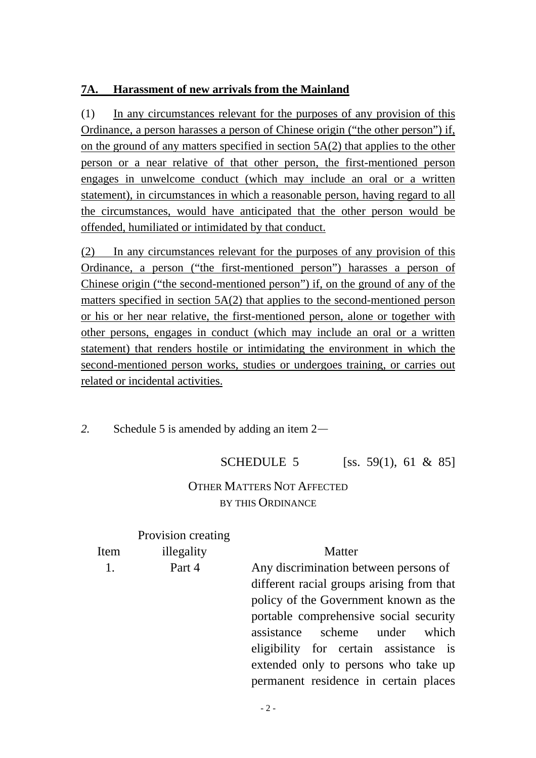# **7A. Harassment of new arrivals from the Mainland**

(1) In any circumstances relevant for the purposes of any provision of this Ordinance, a person harasses a person of Chinese origin ("the other person") if, on the ground of any matters specified in section 5A(2) that applies to the other person or a near relative of that other person, the first-mentioned person engages in unwelcome conduct (which may include an oral or a written statement), in circumstances in which a reasonable person, having regard to all the circumstances, would have anticipated that the other person would be offended, humiliated or intimidated by that conduct.

(2) In any circumstances relevant for the purposes of any provision of this Ordinance, a person ("the first-mentioned person") harasses a person of Chinese origin ("the second-mentioned person") if, on the ground of any of the matters specified in section 5A(2) that applies to the second-mentioned person or his or her near relative, the first-mentioned person, alone or together with other persons, engages in conduct (which may include an oral or a written statement) that renders hostile or intimidating the environment in which the second-mentioned person works, studies or undergoes training, or carries out related or incidental activities.

*2.* Schedule 5 is amended by adding an item 2—

# SCHEDULE 5 [ss. 59(1), 61 & 85]

# OTHER MATTERS NOT AFFECTED BY THIS ORDINANCE

|      | Provision creating |                                           |
|------|--------------------|-------------------------------------------|
| Item | illegality         | Matter                                    |
| 1.   | Part 4             | Any discrimination between persons of     |
|      |                    | different racial groups arising from that |
|      |                    | policy of the Government known as the     |
|      |                    | portable comprehensive social security    |
|      |                    | assistance scheme under<br>which          |
|      |                    | eligibility for certain assistance is     |
|      |                    | extended only to persons who take up      |
|      |                    | permanent residence in certain places     |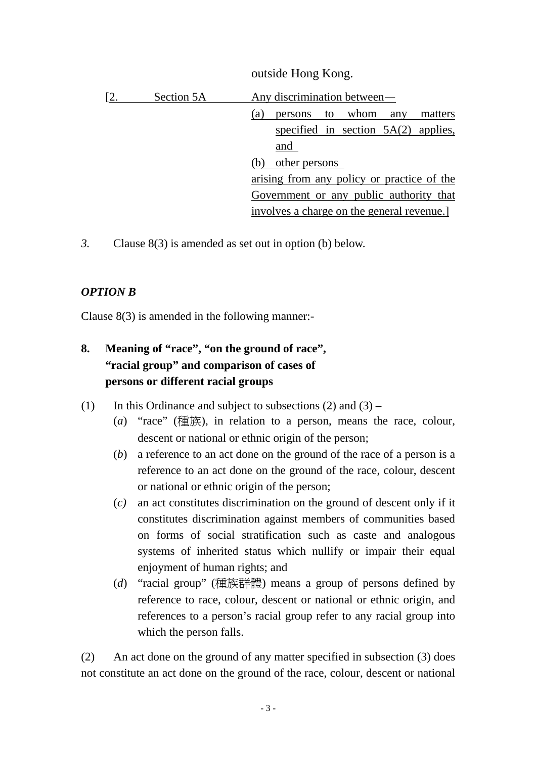|     |            | outside Hong Kong.                          |
|-----|------------|---------------------------------------------|
| [2. | Section 5A | Any discrimination between—                 |
|     |            | to whom<br>any<br>matters<br>persons<br>(a) |
|     |            | specified in section $5A(2)$ applies,       |
|     |            | and                                         |
|     |            | other persons                               |
|     |            | arising from any policy or practice of the  |
|     |            | Government or any public authority that     |
|     |            | involves a charge on the general revenue.   |

 $\mathbf{v}$  outside  $\mathbf{v}$ 

*3.* Clause 8(3) is amended as set out in option (b) below.

# *OPTION B*

Clause 8(3) is amended in the following manner:-

# **8. Meaning of "race", "on the ground of race", "racial group" and comparison of cases of persons or different racial groups**

- (1) In this Ordinance and subject to subsections  $(2)$  and  $(3)$ 
	- (*a*) "race" (種族), in relation to a person, means the race, colour, descent or national or ethnic origin of the person;
	- (*b*) a reference to an act done on the ground of the race of a person is a reference to an act done on the ground of the race, colour, descent or national or ethnic origin of the person;
	- (*c)* an act constitutes discrimination on the ground of descent only if it constitutes discrimination against members of communities based on forms of social stratification such as caste and analogous systems of inherited status which nullify or impair their equal enjoyment of human rights; and
	- (*d*) "racial group" (種族群體) means a group of persons defined by reference to race, colour, descent or national or ethnic origin, and references to a person's racial group refer to any racial group into which the person falls.

(2) An act done on the ground of any matter specified in subsection (3) does not constitute an act done on the ground of the race, colour, descent or national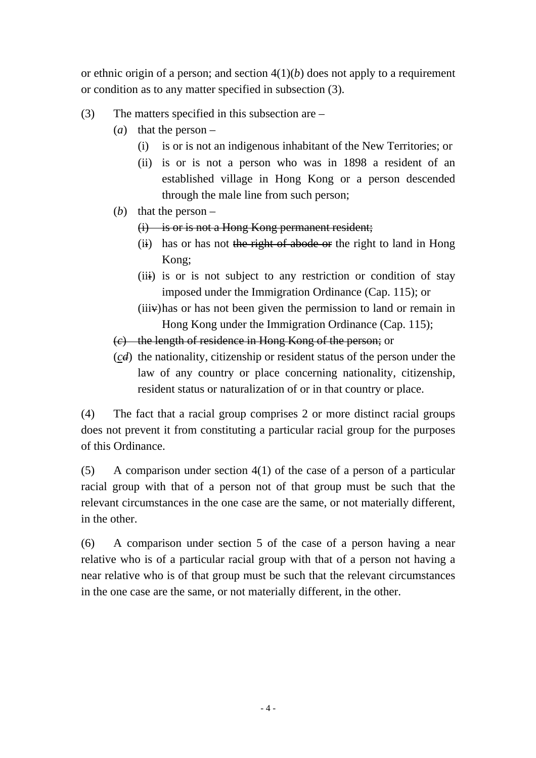or ethnic origin of a person; and section 4(1)(*b*) does not apply to a requirement or condition as to any matter specified in subsection (3).

- (3) The matters specified in this subsection are
	- (*a*) that the person
		- (i) is or is not an indigenous inhabitant of the New Territories; or
		- (ii) is or is not a person who was in 1898 a resident of an established village in Hong Kong or a person descended through the male line from such person;
	- (*b*) that the person
		- (i) is or is not a Hong Kong permanent resident;
		- $(ii)$  has or has not the right of abode or the right to land in Hong Kong;
		- (iii) is or is not subject to any restriction or condition of stay imposed under the Immigration Ordinance (Cap. 115); or
		- $(iii)$  has or has not been given the permission to land or remain in Hong Kong under the Immigration Ordinance (Cap. 115);
	- (*c*) the length of residence in Hong Kong of the person; or
	- (*cd*) the nationality, citizenship or resident status of the person under the law of any country or place concerning nationality, citizenship, resident status or naturalization of or in that country or place.

(4) The fact that a racial group comprises 2 or more distinct racial groups does not prevent it from constituting a particular racial group for the purposes of this Ordinance.

(5) A comparison under section 4(1) of the case of a person of a particular racial group with that of a person not of that group must be such that the relevant circumstances in the one case are the same, or not materially different, in the other.

(6) A comparison under section 5 of the case of a person having a near relative who is of a particular racial group with that of a person not having a near relative who is of that group must be such that the relevant circumstances in the one case are the same, or not materially different, in the other.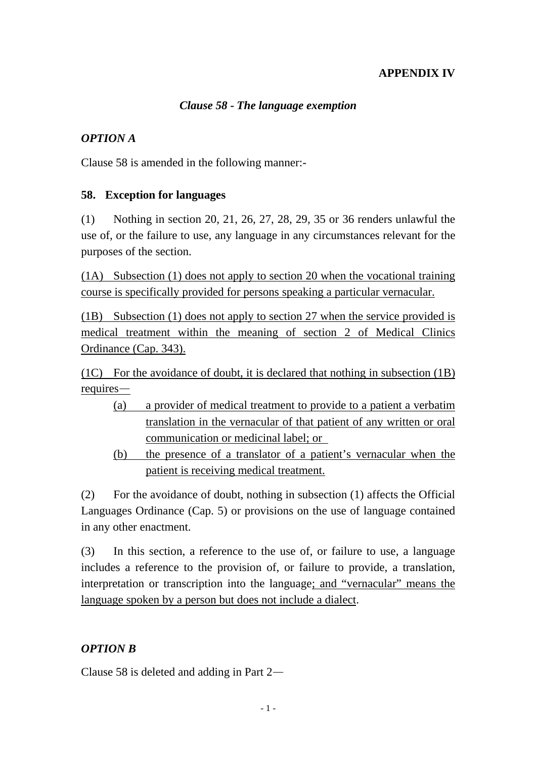# **APPENDIX IV**

#### *Clause 58 - The language exemption*

# *OPTION A*

Clause 58 is amended in the following manner:-

#### **58. Exception for languages**

(1) Nothing in section 20, 21, 26, 27, 28, 29, 35 or 36 renders unlawful the use of, or the failure to use, any language in any circumstances relevant for the purposes of the section.

(1A) Subsection (1) does not apply to section 20 when the vocational training course is specifically provided for persons speaking a particular vernacular.

(1B) Subsection (1) does not apply to section 27 when the service provided is medical treatment within the meaning of section 2 of Medical Clinics Ordinance (Cap. 343).

(1C) For the avoidance of doubt, it is declared that nothing in subsection (1B) requires—

- (a) a provider of medical treatment to provide to a patient a verbatim translation in the vernacular of that patient of any written or oral communication or medicinal label; or
- (b) the presence of a translator of a patient's vernacular when the patient is receiving medical treatment.

(2) For the avoidance of doubt, nothing in subsection (1) affects the Official Languages Ordinance (Cap. 5) or provisions on the use of language contained in any other enactment.

(3) In this section, a reference to the use of, or failure to use, a language includes a reference to the provision of, or failure to provide, a translation, interpretation or transcription into the language; and "vernacular" means the language spoken by a person but does not include a dialect.

#### *OPTION B*

Clause 58 is deleted and adding in Part 2—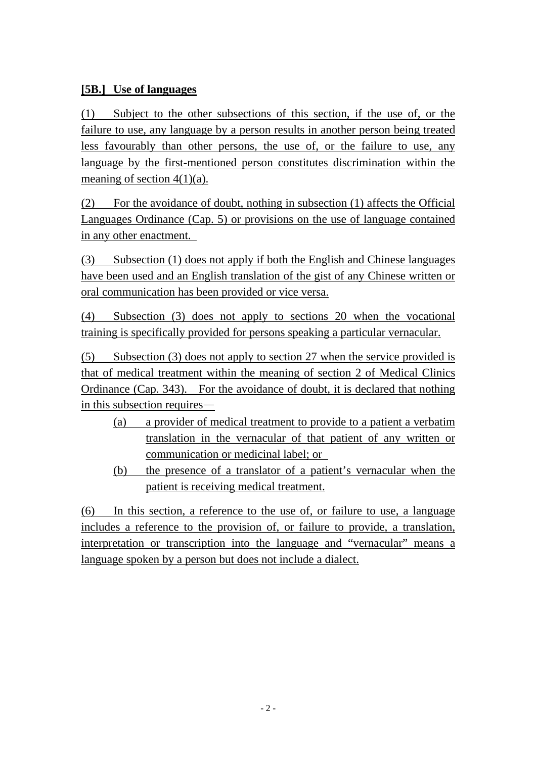# **[5B.] Use of languages**

(1) Subject to the other subsections of this section, if the use of, or the failure to use, any language by a person results in another person being treated less favourably than other persons, the use of, or the failure to use, any language by the first-mentioned person constitutes discrimination within the meaning of section  $4(1)(a)$ .

(2) For the avoidance of doubt, nothing in subsection (1) affects the Official Languages Ordinance (Cap. 5) or provisions on the use of language contained in any other enactment.

(3) Subsection (1) does not apply if both the English and Chinese languages have been used and an English translation of the gist of any Chinese written or oral communication has been provided or vice versa.

(4) Subsection (3) does not apply to sections 20 when the vocational training is specifically provided for persons speaking a particular vernacular.

(5) Subsection (3) does not apply to section 27 when the service provided is that of medical treatment within the meaning of section 2 of Medical Clinics Ordinance (Cap. 343). For the avoidance of doubt, it is declared that nothing in this subsection requires—

- (a) a provider of medical treatment to provide to a patient a verbatim translation in the vernacular of that patient of any written or communication or medicinal label; or
- (b) the presence of a translator of a patient's vernacular when the patient is receiving medical treatment.

(6) In this section, a reference to the use of, or failure to use, a language includes a reference to the provision of, or failure to provide, a translation, interpretation or transcription into the language and "vernacular" means a language spoken by a person but does not include a dialect.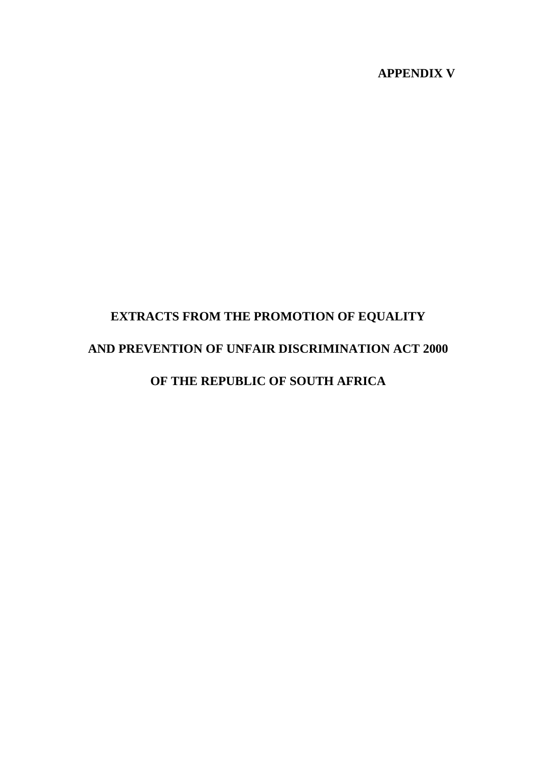# **APPENDIX V**

# **EXTRACTS FROM THE PROMOTION OF EQUALITY AND PREVENTION OF UNFAIR DISCRIMINATION ACT 2000 OF THE REPUBLIC OF SOUTH AFRICA**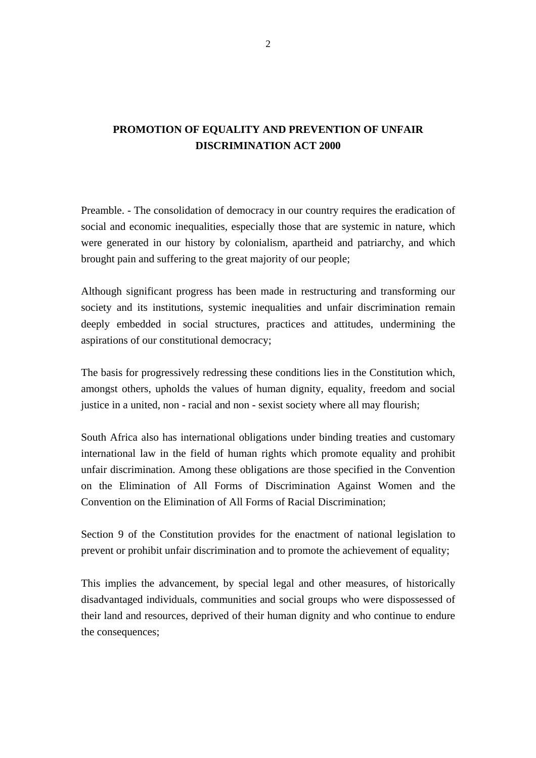# **PROMOTION OF EQUALITY AND PREVENTION OF UNFAIR DISCRIMINATION ACT 2000**

Preamble. - The consolidation of democracy in our country requires the eradication of social and economic inequalities, especially those that are systemic in nature, which were generated in our history by colonialism, apartheid and patriarchy, and which brought pain and suffering to the great majority of our people;

Although significant progress has been made in restructuring and transforming our society and its institutions, systemic inequalities and unfair discrimination remain deeply embedded in social structures, practices and attitudes, undermining the aspirations of our constitutional democracy;

The basis for progressively redressing these conditions lies in the Constitution which, amongst others, upholds the values of human dignity, equality, freedom and social justice in a united, non - racial and non - sexist society where all may flourish;

South Africa also has international obligations under binding treaties and customary international law in the field of human rights which promote equality and prohibit unfair discrimination. Among these obligations are those specified in the Convention on the Elimination of All Forms of Discrimination Against Women and the Convention on the Elimination of All Forms of Racial Discrimination;

Section 9 of the Constitution provides for the enactment of national legislation to prevent or prohibit unfair discrimination and to promote the achievement of equality;

This implies the advancement, by special legal and other measures, of historically disadvantaged individuals, communities and social groups who were dispossessed of their land and resources, deprived of their human dignity and who continue to endure the consequences;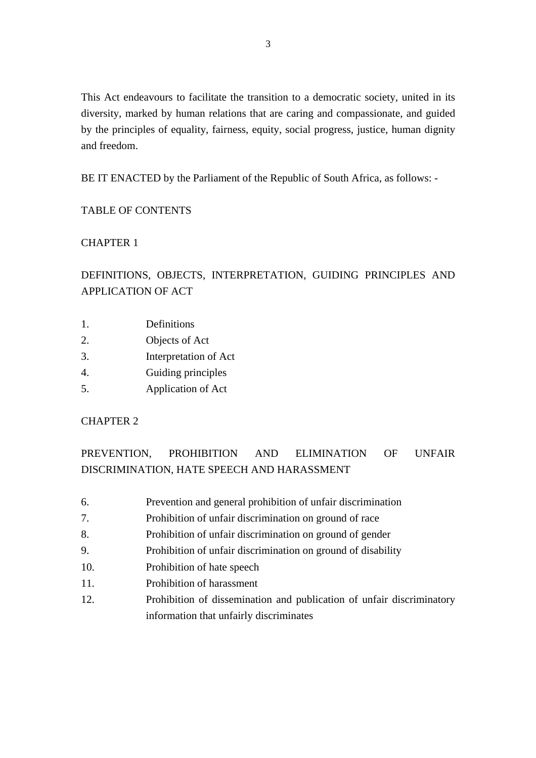This Act endeavours to facilitate the transition to a democratic society, united in its diversity, marked by human relations that are caring and compassionate, and guided by the principles of equality, fairness, equity, social progress, justice, human dignity and freedom.

BE IT ENACTED by the Parliament of the Republic of South Africa, as follows: -

#### TABLE OF CONTENTS

#### CHAPTER 1

# DEFINITIONS, OBJECTS, INTERPRETATION, GUIDING PRINCIPLES AND APPLICATION OF ACT

- 1. Definitions
- 2. Objects of Act
- 3. Interpretation of Act
- 4. Guiding principles
- 5. Application of Act

#### CHAPTER 2

# PREVENTION, PROHIBITION AND ELIMINATION OF UNFAIR DISCRIMINATION, HATE SPEECH AND HARASSMENT

- 6. Prevention and general prohibition of unfair discrimination
- 7. Prohibition of unfair discrimination on ground of race
- 8. Prohibition of unfair discrimination on ground of gender
- 9. Prohibition of unfair discrimination on ground of disability
- 10. Prohibition of hate speech
- 11. Prohibition of harassment
- 12. Prohibition of dissemination and publication of unfair discriminatory information that unfairly discriminates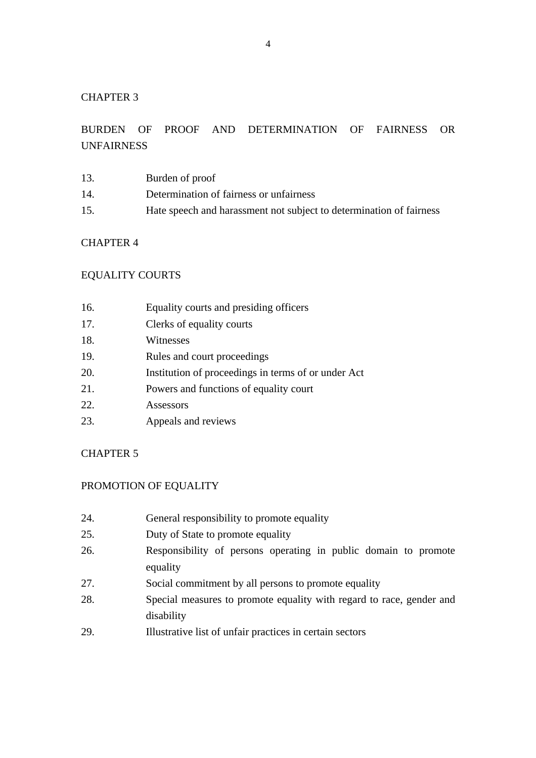# BURDEN OF PROOF AND DETERMINATION OF FAIRNESS OR UNFAIRNESS

- 13. Burden of proof
- 14. Determination of fairness or unfairness
- 15. Hate speech and harassment not subject to determination of fairness

#### CHAPTER 4

#### EQUALITY COURTS

| 16. | Equality courts and presiding officers |  |
|-----|----------------------------------------|--|
|     |                                        |  |

- 17. Clerks of equality courts
- 18. Witnesses
- 19. Rules and court proceedings
- 20. Institution of proceedings in terms of or under Act
- 21. Powers and functions of equality court
- 22. Assessors
- 23. Appeals and reviews

#### CHAPTER 5

#### PROMOTION OF EQUALITY

- 24. General responsibility to promote equality
- 25. Duty of State to promote equality
- 26. Responsibility of persons operating in public domain to promote equality
- 27. Social commitment by all persons to promote equality
- 28. Special measures to promote equality with regard to race, gender and disability
- 29. Illustrative list of unfair practices in certain sectors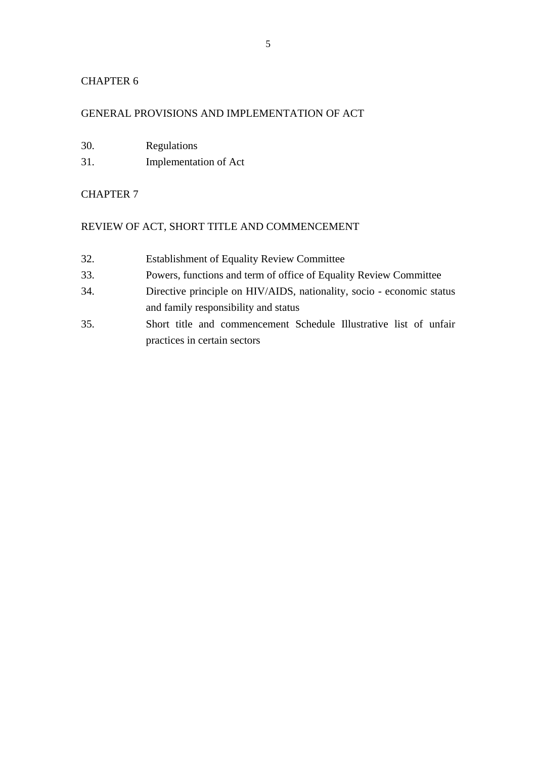#### GENERAL PROVISIONS AND IMPLEMENTATION OF ACT

- 30. Regulations
- 31. Implementation of Act

#### CHAPTER 7

#### REVIEW OF ACT, SHORT TITLE AND COMMENCEMENT

- 32. Establishment of Equality Review Committee
- 33. Powers, functions and term of office of Equality Review Committee
- 34. Directive principle on HIV/AIDS, nationality, socio economic status and family responsibility and status
- 35. Short title and commencement Schedule Illustrative list of unfair practices in certain sectors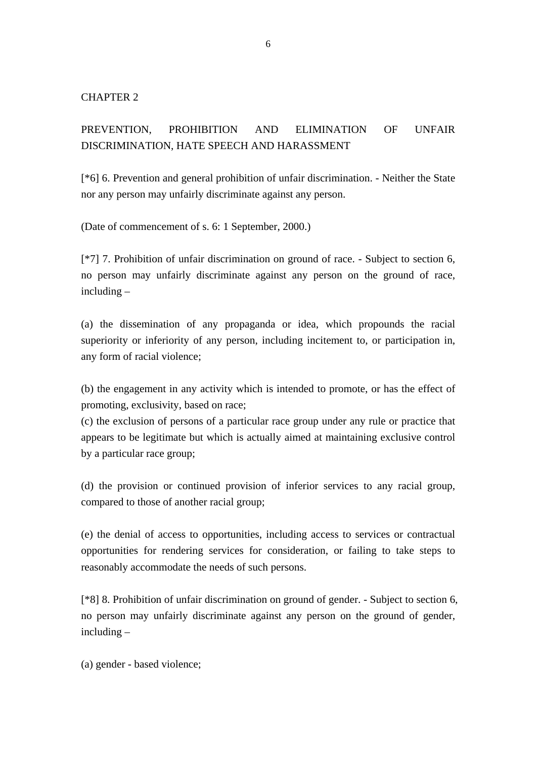# PREVENTION, PROHIBITION AND ELIMINATION OF UNFAIR DISCRIMINATION, HATE SPEECH AND HARASSMENT

[\*6] 6. Prevention and general prohibition of unfair discrimination. - Neither the State nor any person may unfairly discriminate against any person.

(Date of commencement of s. 6: 1 September, 2000.)

[\*7] 7. Prohibition of unfair discrimination on ground of race. - Subject to section 6, no person may unfairly discriminate against any person on the ground of race, including –

(a) the dissemination of any propaganda or idea, which propounds the racial superiority or inferiority of any person, including incitement to, or participation in, any form of racial violence;

(b) the engagement in any activity which is intended to promote, or has the effect of promoting, exclusivity, based on race;

(c) the exclusion of persons of a particular race group under any rule or practice that appears to be legitimate but which is actually aimed at maintaining exclusive control by a particular race group;

(d) the provision or continued provision of inferior services to any racial group, compared to those of another racial group;

(e) the denial of access to opportunities, including access to services or contractual opportunities for rendering services for consideration, or failing to take steps to reasonably accommodate the needs of such persons.

[\*8] 8. Prohibition of unfair discrimination on ground of gender. - Subject to section 6, no person may unfairly discriminate against any person on the ground of gender, including –

(a) gender - based violence;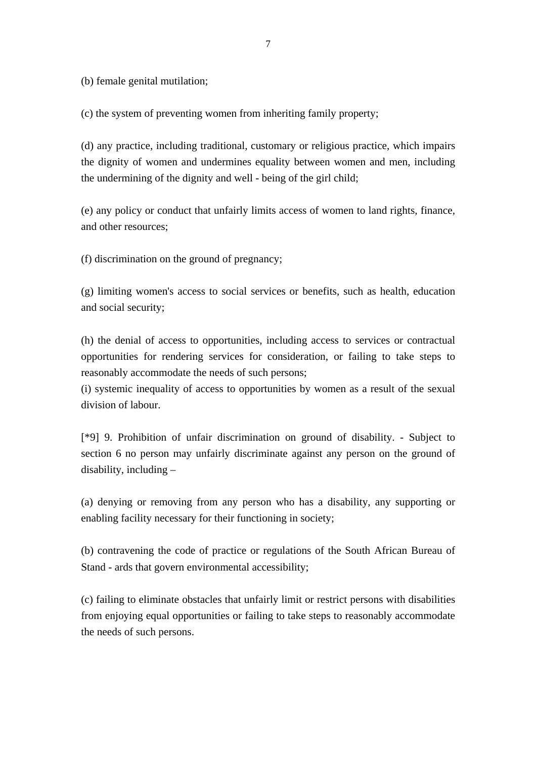(b) female genital mutilation;

(c) the system of preventing women from inheriting family property;

(d) any practice, including traditional, customary or religious practice, which impairs the dignity of women and undermines equality between women and men, including the undermining of the dignity and well - being of the girl child;

(e) any policy or conduct that unfairly limits access of women to land rights, finance, and other resources;

(f) discrimination on the ground of pregnancy;

(g) limiting women's access to social services or benefits, such as health, education and social security;

(h) the denial of access to opportunities, including access to services or contractual opportunities for rendering services for consideration, or failing to take steps to reasonably accommodate the needs of such persons;

(i) systemic inequality of access to opportunities by women as a result of the sexual division of labour.

[\*9] 9. Prohibition of unfair discrimination on ground of disability. - Subject to section 6 no person may unfairly discriminate against any person on the ground of disability, including –

(a) denying or removing from any person who has a disability, any supporting or enabling facility necessary for their functioning in society;

(b) contravening the code of practice or regulations of the South African Bureau of Stand - ards that govern environmental accessibility;

(c) failing to eliminate obstacles that unfairly limit or restrict persons with disabilities from enjoying equal opportunities or failing to take steps to reasonably accommodate the needs of such persons.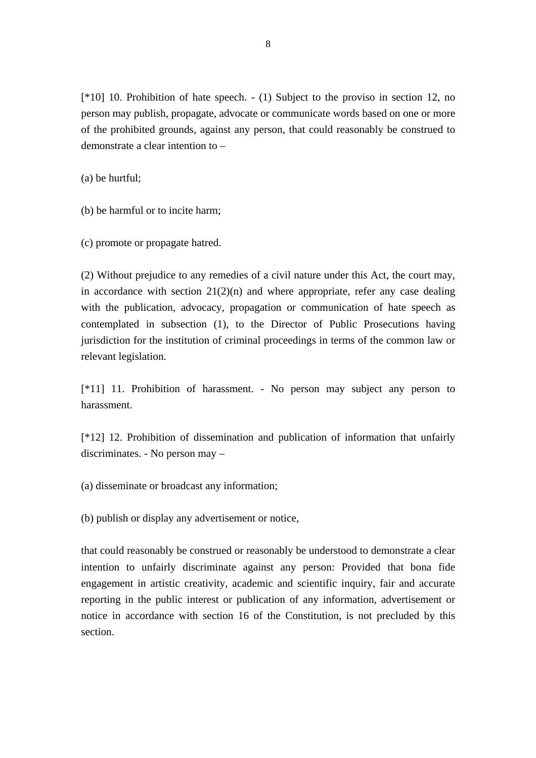[\*10] 10. Prohibition of hate speech. - (1) Subject to the proviso in section 12, no person may publish, propagate, advocate or communicate words based on one or more of the prohibited grounds, against any person, that could reasonably be construed to demonstrate a clear intention to –

(a) be hurtful;

(b) be harmful or to incite harm;

(c) promote or propagate hatred.

(2) Without prejudice to any remedies of a civil nature under this Act, the court may, in accordance with section  $21(2)(n)$  and where appropriate, refer any case dealing with the publication, advocacy, propagation or communication of hate speech as contemplated in subsection (1), to the Director of Public Prosecutions having jurisdiction for the institution of criminal proceedings in terms of the common law or relevant legislation.

[\*11] 11. Prohibition of harassment. - No person may subject any person to harassment.

[\*12] 12. Prohibition of dissemination and publication of information that unfairly discriminates. - No person may –

(a) disseminate or broadcast any information;

(b) publish or display any advertisement or notice,

that could reasonably be construed or reasonably be understood to demonstrate a clear intention to unfairly discriminate against any person: Provided that bona fide engagement in artistic creativity, academic and scientific inquiry, fair and accurate reporting in the public interest or publication of any information, advertisement or notice in accordance with section 16 of the Constitution, is not precluded by this section.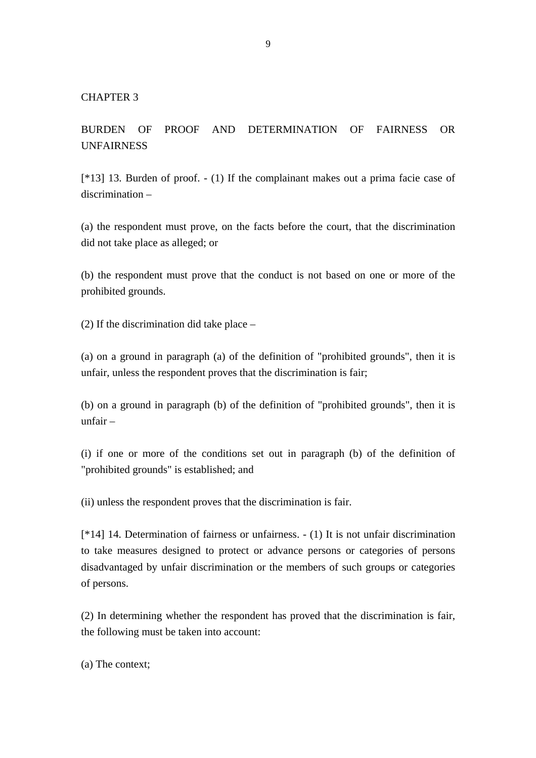BURDEN OF PROOF AND DETERMINATION OF FAIRNESS OR UNFAIRNESS

[\*13] 13. Burden of proof. - (1) If the complainant makes out a prima facie case of discrimination –

(a) the respondent must prove, on the facts before the court, that the discrimination did not take place as alleged; or

(b) the respondent must prove that the conduct is not based on one or more of the prohibited grounds.

(2) If the discrimination did take place –

(a) on a ground in paragraph (a) of the definition of "prohibited grounds", then it is unfair, unless the respondent proves that the discrimination is fair;

(b) on a ground in paragraph (b) of the definition of "prohibited grounds", then it is unfair –

(i) if one or more of the conditions set out in paragraph (b) of the definition of "prohibited grounds" is established; and

(ii) unless the respondent proves that the discrimination is fair.

[\*14] 14. Determination of fairness or unfairness. - (1) It is not unfair discrimination to take measures designed to protect or advance persons or categories of persons disadvantaged by unfair discrimination or the members of such groups or categories of persons.

(2) In determining whether the respondent has proved that the discrimination is fair, the following must be taken into account:

(a) The context;